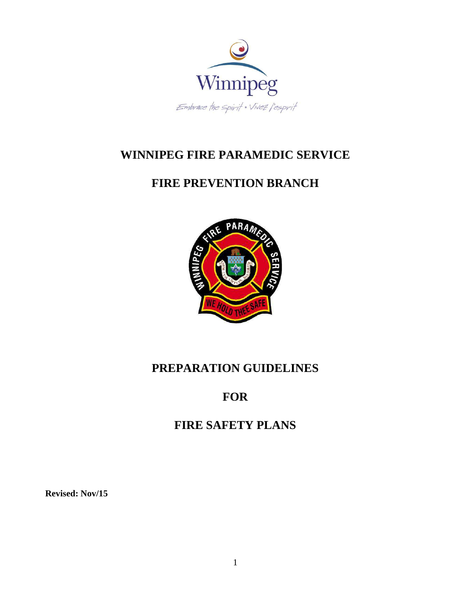

# **WINNIPEG FIRE PARAMEDIC SERVICE**

# **FIRE PREVENTION BRANCH**



# **PREPARATION GUIDELINES**

# **FOR**

# **FIRE SAFETY PLANS**

**Revised: Nov/15**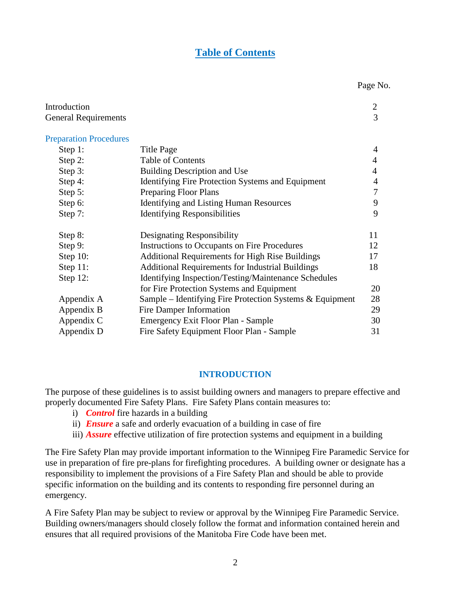#### **Table of Contents**

Page No.

| Introduction                  |                                                            | $\overline{2}$ |
|-------------------------------|------------------------------------------------------------|----------------|
| <b>General Requirements</b>   |                                                            | 3              |
| <b>Preparation Procedures</b> |                                                            |                |
| Step 1:                       | Title Page                                                 | $\overline{4}$ |
| Step 2:                       | <b>Table of Contents</b>                                   | $\overline{4}$ |
| Step 3:                       | <b>Building Description and Use</b>                        | 4              |
| Step 4:                       | Identifying Fire Protection Systems and Equipment          | 4              |
| Step 5:                       | <b>Preparing Floor Plans</b>                               | 7              |
| Step 6:                       | <b>Identifying and Listing Human Resources</b>             | 9              |
| Step 7:                       | <b>Identifying Responsibilities</b>                        | 9              |
| Step 8:                       | Designating Responsibility                                 | 11             |
| Step 9:                       | Instructions to Occupants on Fire Procedures               | 12             |
| Step $10$ :                   | <b>Additional Requirements for High Rise Buildings</b>     | 17             |
| Step 11:                      | <b>Additional Requirements for Industrial Buildings</b>    | 18             |
| Step 12:                      | Identifying Inspection/Testing/Maintenance Schedules       |                |
|                               | for Fire Protection Systems and Equipment                  | 20             |
| Appendix A                    | Sample – Identifying Fire Protection Systems $&$ Equipment | 28             |
| Appendix B                    | Fire Damper Information                                    | 29             |
| Appendix C                    | Emergency Exit Floor Plan - Sample                         | 30             |
| Appendix D                    | Fire Safety Equipment Floor Plan - Sample                  | 31             |
|                               |                                                            |                |

#### **INTRODUCTION**

The purpose of these guidelines is to assist building owners and managers to prepare effective and properly documented Fire Safety Plans. Fire Safety Plans contain measures to:

- i) *Control* fire hazards in a building
- ii) *Ensure* a safe and orderly evacuation of a building in case of fire
- iii) *Assure* effective utilization of fire protection systems and equipment in a building

The Fire Safety Plan may provide important information to the Winnipeg Fire Paramedic Service for use in preparation of fire pre-plans for firefighting procedures. A building owner or designate has a responsibility to implement the provisions of a Fire Safety Plan and should be able to provide specific information on the building and its contents to responding fire personnel during an emergency.

A Fire Safety Plan may be subject to review or approval by the Winnipeg Fire Paramedic Service. Building owners/managers should closely follow the format and information contained herein and ensures that all required provisions of the Manitoba Fire Code have been met.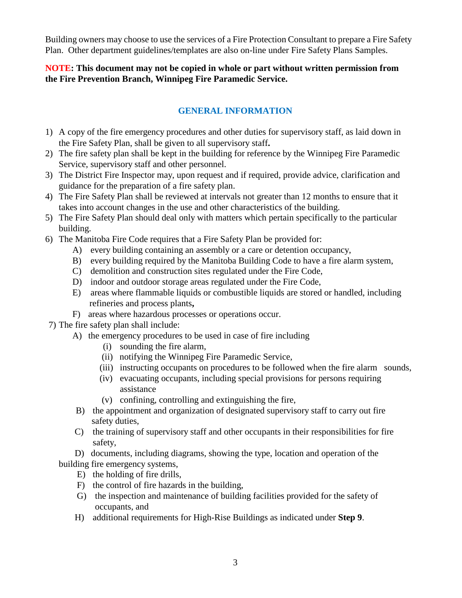Building owners may choose to use the services of a Fire Protection Consultant to prepare a Fire Safety Plan. Other department guidelines/templates are also on-line under Fire Safety Plans Samples.

#### **NOTE: This document may not be copied in whole or part without written permission from the Fire Prevention Branch, Winnipeg Fire Paramedic Service.**

#### **GENERAL INFORMATION**

- 1) A copy of the fire emergency procedures and other duties for supervisory staff, as laid down in the Fire Safety Plan, shall be given to all supervisory staff**.**
- 2) The fire safety plan shall be kept in the building for reference by the Winnipeg Fire Paramedic Service, supervisory staff and other personnel.
- 3) The District Fire Inspector may, upon request and if required, provide advice, clarification and guidance for the preparation of a fire safety plan.
- 4) The Fire Safety Plan shall be reviewed at intervals not greater than 12 months to ensure that it takes into account changes in the use and other characteristics of the building.
- 5) The Fire Safety Plan should deal only with matters which pertain specifically to the particular building.
- 6) The Manitoba Fire Code requires that a Fire Safety Plan be provided for:
	- A) every building containing an assembly or a care or detention occupancy,
	- B) every building required by the Manitoba Building Code to have a fire alarm system,
	- C) demolition and construction sites regulated under the Fire Code,
	- D) indoor and outdoor storage areas regulated under the Fire Code,
	- E) areas where flammable liquids or combustible liquids are stored or handled, including refineries and process plants**,**
	- F) areas where hazardous processes or operations occur.
- 7) The fire safety plan shall include:
	- A) the emergency procedures to be used in case of fire including
		- (i) sounding the fire alarm,
		- (ii) notifying the Winnipeg Fire Paramedic Service,
		- (iii) instructing occupants on procedures to be followed when the fire alarm sounds,
		- (iv) evacuating occupants, including special provisions for persons requiring assistance
		- (v) confining, controlling and extinguishing the fire,
	- B) the appointment and organization of designated supervisory staff to carry out fire safety duties,
	- C) the training of supervisory staff and other occupants in their responsibilities for fire safety,

 D) documents, including diagrams, showing the type, location and operation of the building fire emergency systems,

- E) the holding of fire drills,
- F) the control of fire hazards in the building,
- G) the inspection and maintenance of building facilities provided for the safety of occupants, and
- H) additional requirements for High-Rise Buildings as indicated under **Step 9**.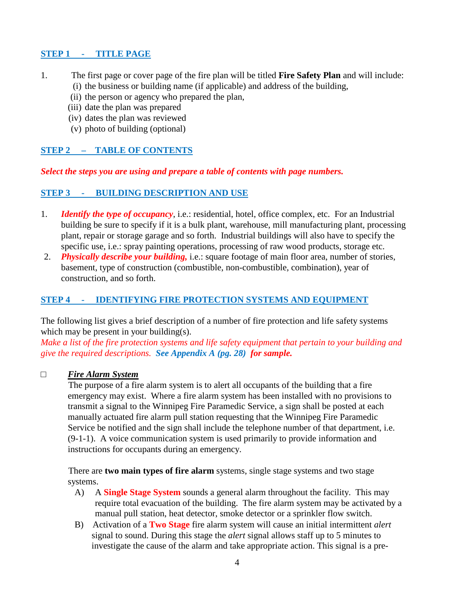#### **STEP 1 - TITLE PAGE**

- 1. The first page or cover page of the fire plan will be titled **Fire Safety Plan** and will include:
	- (i) the business or building name (if applicable) and address of the building,
	- (ii) the person or agency who prepared the plan,
	- (iii) date the plan was prepared
	- (iv) dates the plan was reviewed
	- (v) photo of building (optional)

#### **STEP 2 – TABLE OF CONTENTS**

#### *Select the steps you are using and prepare a table of contents with page numbers.*

#### **STEP 3 - BUILDING DESCRIPTION AND USE**

- 1. *Identify the type of occupancy*, i.e.: residential, hotel, office complex, etc. For an Industrial building be sure to specify if it is a bulk plant, warehouse, mill manufacturing plant, processing plant, repair or storage garage and so forth. Industrial buildings will also have to specify the specific use, i.e.: spray painting operations, processing of raw wood products, storage etc.
- 2. *Physically describe your building,* i.e.: square footage of main floor area, number of stories, basement, type of construction (combustible, non-combustible, combination), year of construction, and so forth.

#### **STEP 4 - IDENTIFYING FIRE PROTECTION SYSTEMS AND EQUIPMENT**

The following list gives a brief description of a number of fire protection and life safety systems which may be present in your building(s).

*Make a list of the fire protection systems and life safety equipment that pertain to your building and give the required descriptions. See Appendix A (pg. 28) for sample.*

#### □ *Fire Alarm System*

 The purpose of a fire alarm system is to alert all occupants of the building that a fire emergency may exist. Where a fire alarm system has been installed with no provisions to transmit a signal to the Winnipeg Fire Paramedic Service, a sign shall be posted at each manually actuated fire alarm pull station requesting that the Winnipeg Fire Paramedic Service be notified and the sign shall include the telephone number of that department, i.e. (9-1-1). A voice communication system is used primarily to provide information and instructions for occupants during an emergency.

 There are **two main types of fire alarm** systems, single stage systems and two stage systems.

- A) A **Single Stage System** sounds a general alarm throughout the facility. This may require total evacuation of the building. The fire alarm system may be activated by a manual pull station, heat detector, smoke detector or a sprinkler flow switch.
- B) Activation of a **Two Stage** fire alarm system will cause an initial intermittent *alert* signal to sound. During this stage the *alert* signal allows staff up to 5 minutes to investigate the cause of the alarm and take appropriate action. This signal is a pre-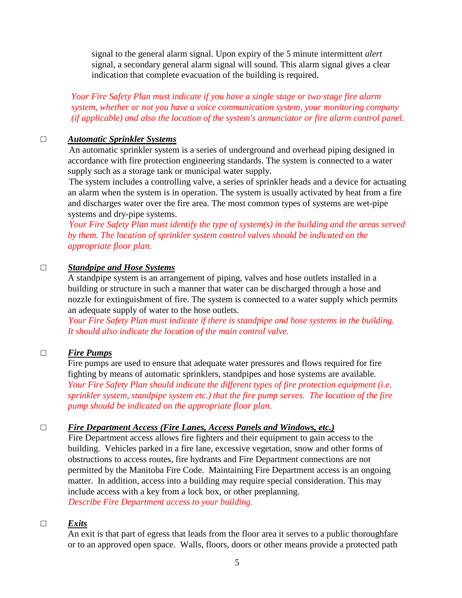signal to the general alarm signal. Upon expiry of the 5 minute intermittent *alert* signal, a secondary general alarm signal will sound. This alarm signal gives a clear indication that complete evacuation of the building is required.

 *Your Fire Safety Plan must indicate if you have a single stage or two stage fire alarm system, whether or not you have a voice communication system, your monitoring company (if applicable) and also the location of the system's annunciator or fire alarm control panel.* 

#### □ *Automatic Sprinkler Systems*

 An automatic sprinkler system is a series of underground and overhead piping designed in accordance with fire protection engineering standards. The system is connected to a water supply such as a storage tank or municipal water supply.

 The system includes a controlling valve, a series of sprinkler heads and a device for actuating an alarm when the system is in operation. The system is usually activated by heat from a fire and discharges water over the fire area. The most common types of systems are wet-pipe systems and dry-pipe systems.

 *Your Fire Safety Plan must identify the type of system(s) in the building and the areas served by them. The location of sprinkler system control valves should be indicated on the appropriate floor plan.* 

#### □ *Standpipe and Hose Systems*

A standpipe system is an arrangement of piping, valves and hose outlets installed in a building or structure in such a manner that water can be discharged through a hose and nozzle for extinguishment of fire. The system is connected to a water supply which permits an adequate supply of water to the hose outlets.

 *Your Fire Safety Plan must indicate if there is standpipe and hose systems in the building. It should also indicate the location of the main control valve.* 

#### □ *Fire Pumps*

Fire pumps are used to ensure that adequate water pressures and flows required for fire fighting by means of automatic sprinklers, standpipes and hose systems are available*. Your Fire Safety Plan should indicate the different types of fire protection equipment (i.e. sprinkler system, standpipe system etc.) that the fire pump serves. The location of the fire pump should be indicated on the appropriate floor plan.* 

#### □ *Fire Department Access (Fire Lanes, Access Panels and Windows, etc.)*

 Fire Department access allows fire fighters and their equipment to gain access to the building. Vehicles parked in a fire lane, excessive vegetation, snow and other forms of obstructions to access routes, fire hydrants and Fire Department connections are not permitted by the Manitoba Fire Code. Maintaining Fire Department access is an ongoing matter. In addition, access into a building may require special consideration. This may include access with a key from a lock box, or other preplanning. *Describe Fire Department access to your building.* 

#### □ *Exits*

An exit is that part of egress that leads from the floor area it serves to a public thoroughfare or to an approved open space. Walls, floors, doors or other means provide a protected path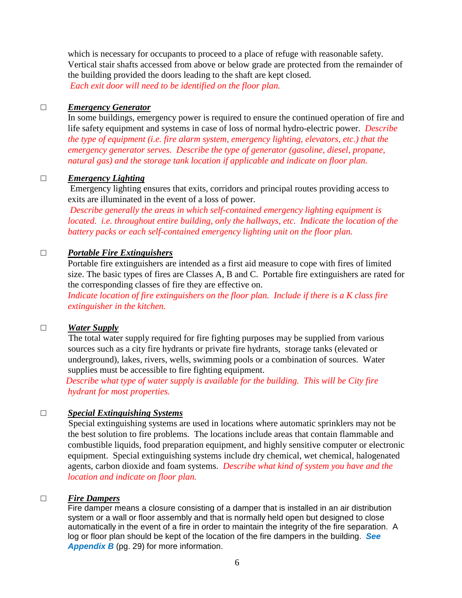which is necessary for occupants to proceed to a place of refuge with reasonable safety. Vertical stair shafts accessed from above or below grade are protected from the remainder of the building provided the doors leading to the shaft are kept closed. *Each exit door will need to be identified on the floor plan.*

#### □ *Emergency Generator*

In some buildings, emergency power is required to ensure the continued operation of fire and life safety equipment and systems in case of loss of normal hydro-electric power. *Describe the type of equipment (i.e. fire alarm system, emergency lighting, elevators, etc.) that the emergency generator serves. Describe the type of generator (gasoline, diesel, propane, natural gas) and the storage tank location if applicable and indicate on floor plan.*

#### □ *Emergency Lighting*

 Emergency lighting ensures that exits, corridors and principal routes providing access to exits are illuminated in the event of a loss of power.

*Describe generally the areas in which self-contained emergency lighting equipment is located. i.e. throughout entire building, only the hallways, etc. Indicate the location of the battery packs or each self-contained emergency lighting unit on the floor plan.*

#### □ *Portable Fire Extinguishers*

Portable fire extinguishers are intended as a first aid measure to cope with fires of limited size. The basic types of fires are Classes A, B and C. Portable fire extinguishers are rated for the corresponding classes of fire they are effective on.

*Indicate location of fire extinguishers on the floor plan. Include if there is a K class fire extinguisher in the kitchen.* 

#### □ *Water Supply*

 The total water supply required for fire fighting purposes may be supplied from various sources such as a city fire hydrants or private fire hydrants, storage tanks (elevated or underground), lakes, rivers, wells, swimming pools or a combination of sources. Water supplies must be accessible to fire fighting equipment.

 *Describe what type of water supply is available for the building. This will be City fire hydrant for most properties.* 

#### □ *Special Extinguishing Systems*

 Special extinguishing systems are used in locations where automatic sprinklers may not be the best solution to fire problems. The locations include areas that contain flammable and combustible liquids, food preparation equipment, and highly sensitive computer or electronic equipment. Special extinguishing systems include dry chemical, wet chemical, halogenated agents, carbon dioxide and foam systems. *Describe what kind of system you have and the location and indicate on floor plan.*

#### □ *Fire Dampers*

Fire damper means a closure consisting of a damper that is installed in an air distribution system or a wall or floor assembly and that is normally held open but designed to close automatically in the event of a fire in order to maintain the integrity of the fire separation. A log or floor plan should be kept of the location of the fire dampers in the building. **See Appendix B** (pg. 29) for more information.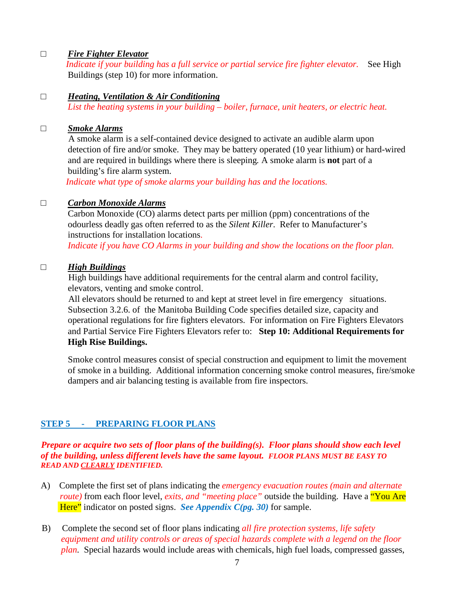#### □ *Fire Fighter Elevator*

 *Indicate if your building has a full service or partial service fire fighter elevator.* See High Buildings (step 10) for more information.

#### □ *Heating, Ventilation & Air Conditioning*

*List the heating systems in your building – boiler, furnace, unit heaters, or electric heat.* 

#### □ *Smoke Alarms*

 A smoke alarm is a self-contained device designed to activate an audible alarm upon detection of fire and/or smoke. They may be battery operated (10 year lithium) or hard-wired and are required in buildings where there is sleeping*.* A smoke alarm is **not** part of a building's fire alarm system.

*Indicate what type of smoke alarms your building has and the locations.* 

#### □ *Carbon Monoxide Alarms*

Carbon Monoxide (CO) alarms detect parts per million (ppm) concentrations of the odourless deadly gas often referred to as the *Silent Killer*. Refer to Manufacturer's instructions for installation locations.

*Indicate if you have CO Alarms in your building and show the locations on the floor plan.*

#### □ *High Buildings*

 High buildings have additional requirements for the central alarm and control facility, elevators, venting and smoke control.

 All elevators should be returned to and kept at street level in fire emergency situations. Subsection 3.2.6. of the Manitoba Building Code specifies detailed size, capacity and operational regulations for fire fighters elevators. For information on Fire Fighters Elevators and Partial Service Fire Fighters Elevators refer to: **Step 10: Additional Requirements for High Rise Buildings.**

Smoke control measures consist of special construction and equipment to limit the movement of smoke in a building. Additional information concerning smoke control measures, fire/smoke dampers and air balancing testing is available from fire inspectors.

#### **STEP 5 - PREPARING FLOOR PLANS**

*Prepare or acquire two sets of floor plans of the building(s). Floor plans should show each level of the building, unless different levels have the same layout. FLOOR PLANS MUST BE EASY TO READ AND CLEARLY IDENTIFIED.* 

- A) Complete the first set of plans indicating the *emergency evacuation routes (main and alternate route*) from each floor level, *exits, and "meeting place"* outside the building. Have a "You Are Here" indicator on posted signs. *See Appendix C(pg. 30)* for sample.
- B) Complete the second set of floor plans indicating *all fire protection systems, life safety equipment and utility controls or areas of special hazards complete with a legend on the floor plan.* Special hazards would include areas with chemicals, high fuel loads, compressed gasses,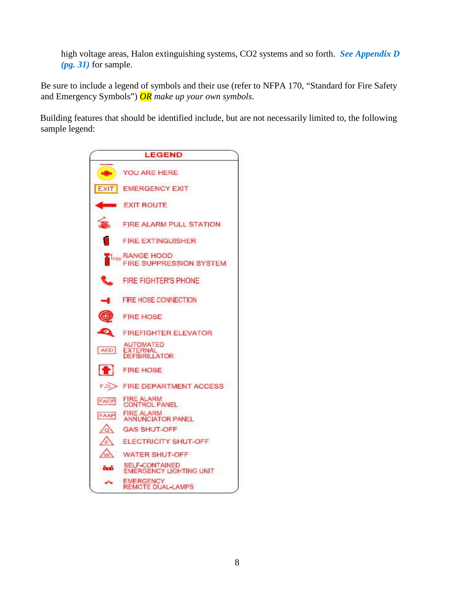high voltage areas, Halon extinguishing systems, CO2 systems and so forth. *See Appendix D (pg. 31)* for sample.

Be sure to include a legend of symbols and their use (refer to NFPA 170, "Standard for Fire Safety and Emergency Symbols") *OR make up your own symbols*.

Building features that should be identified include, but are not necessarily limited to, the following sample legend:

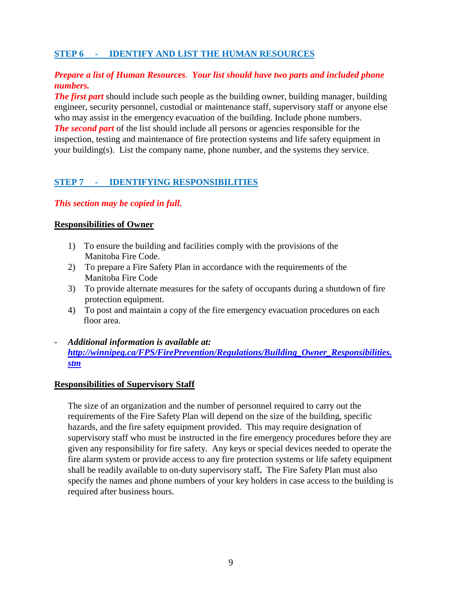#### **STEP 6 - IDENTIFY AND LIST THE HUMAN RESOURCES**

#### *Prepare a list of Human Resources. Your list should have two parts and included phone numbers.*

*The first part* should include such people as the building owner, building manager, building engineer, security personnel, custodial or maintenance staff, supervisory staff or anyone else who may assist in the emergency evacuation of the building. Include phone numbers. *The second part* of the list should include all persons or agencies responsible for the inspection, testing and maintenance of fire protection systems and life safety equipment in your building(s). List the company name, phone number, and the systems they service.

#### **STEP 7 - IDENTIFYING RESPONSIBILITIES**

#### *This section may be copied in full.*

#### **Responsibilities of Owner**

- 1) To ensure the building and facilities comply with the provisions of the Manitoba Fire Code.
- 2) To prepare a Fire Safety Plan in accordance with the requirements of the Manitoba Fire Code
- 3) To provide alternate measures for the safety of occupants during a shutdown of fire protection equipment.
- 4) To post and maintain a copy of the fire emergency evacuation procedures on each floor area.
- *Additional information is available at: http://winnipeg.ca/FPS/FirePrevention/Regulations/Building\_Owner\_Responsibilities. stm*

#### **Responsibilities of Supervisory Staff**

The size of an organization and the number of personnel required to carry out the requirements of the Fire Safety Plan will depend on the size of the building, specific hazards, and the fire safety equipment provided. This may require designation of supervisory staff who must be instructed in the fire emergency procedures before they are given any responsibility for fire safety. Any keys or special devices needed to operate the fire alarm system or provide access to any fire protection systems or life safety equipment shall be readily available to on-duty supervisory staff**.** The Fire Safety Plan must also specify the names and phone numbers of your key holders in case access to the building is required after business hours.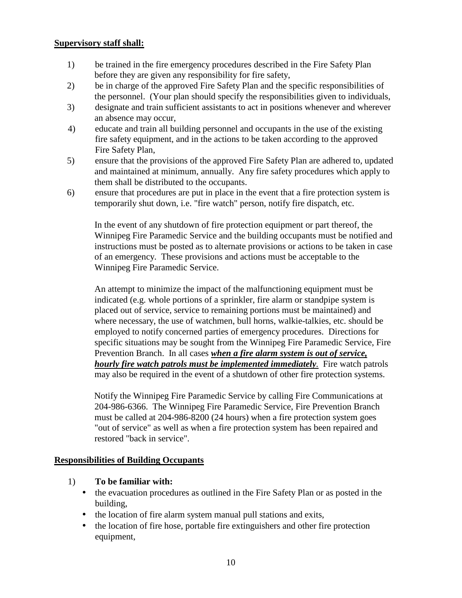#### **Supervisory staff shall:**

- 1) be trained in the fire emergency procedures described in the Fire Safety Plan before they are given any responsibility for fire safety,
- 2) be in charge of the approved Fire Safety Plan and the specific responsibilities of the personnel. (Your plan should specify the responsibilities given to individuals,
- 3) designate and train sufficient assistants to act in positions whenever and wherever an absence may occur,
- 4) educate and train all building personnel and occupants in the use of the existing fire safety equipment, and in the actions to be taken according to the approved Fire Safety Plan,
- 5) ensure that the provisions of the approved Fire Safety Plan are adhered to, updated and maintained at minimum, annually. Any fire safety procedures which apply to them shall be distributed to the occupants.
- 6) ensure that procedures are put in place in the event that a fire protection system is temporarily shut down, i.e. "fire watch" person, notify fire dispatch, etc.

In the event of any shutdown of fire protection equipment or part thereof, the Winnipeg Fire Paramedic Service and the building occupants must be notified and instructions must be posted as to alternate provisions or actions to be taken in case of an emergency. These provisions and actions must be acceptable to the Winnipeg Fire Paramedic Service.

An attempt to minimize the impact of the malfunctioning equipment must be indicated (e.g. whole portions of a sprinkler, fire alarm or standpipe system is placed out of service, service to remaining portions must be maintained) and where necessary, the use of watchmen, bull horns, walkie-talkies, etc. should be employed to notify concerned parties of emergency procedures. Directions for specific situations may be sought from the Winnipeg Fire Paramedic Service, Fire Prevention Branch. In all cases *when a fire alarm system is out of service, hourly fire watch patrols must be implemented immediately.* Fire watch patrols may also be required in the event of a shutdown of other fire protection systems.

 Notify the Winnipeg Fire Paramedic Service by calling Fire Communications at 204-986-6366. The Winnipeg Fire Paramedic Service, Fire Prevention Branch must be called at 204-986-8200 (24 hours) when a fire protection system goes "out of service" as well as when a fire protection system has been repaired and restored "back in service".

#### **Responsibilities of Building Occupants**

- 1) **To be familiar with:**
	- the evacuation procedures as outlined in the Fire Safety Plan or as posted in the building,
	- the location of fire alarm system manual pull stations and exits,
	- the location of fire hose, portable fire extinguishers and other fire protection equipment,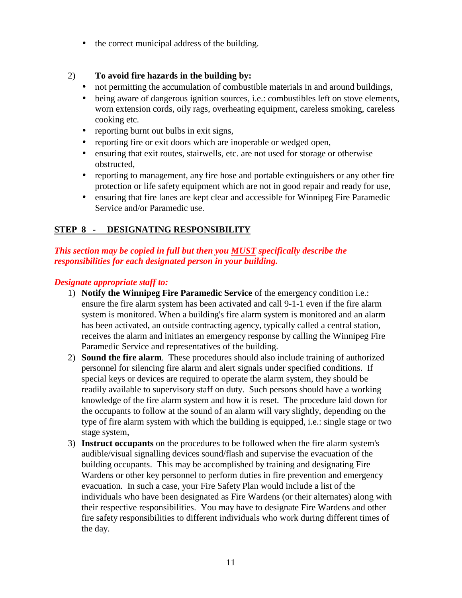• the correct municipal address of the building.

#### 2) **To avoid fire hazards in the building by:**

- not permitting the accumulation of combustible materials in and around buildings,
- being aware of dangerous ignition sources, i.e.: combustibles left on stove elements, worn extension cords, oily rags, overheating equipment, careless smoking, careless cooking etc.
- reporting burnt out bulbs in exit signs,
- reporting fire or exit doors which are inoperable or wedged open,
- ensuring that exit routes, stairwells, etc. are not used for storage or otherwise obstructed,
- reporting to management, any fire hose and portable extinguishers or any other fire protection or life safety equipment which are not in good repair and ready for use,
- ensuring that fire lanes are kept clear and accessible for Winnipeg Fire Paramedic Service and/or Paramedic use.

#### **STEP 8 - DESIGNATING RESPONSIBILITY**

#### *This section may be copied in full but then you MUST specifically describe the responsibilities for each designated person in your building.*

#### *Designate appropriate staff to:*

- 1) **Notify the Winnipeg Fire Paramedic Service** of the emergency condition i.e.: ensure the fire alarm system has been activated and call 9-1-1 even if the fire alarm system is monitored. When a building's fire alarm system is monitored and an alarm has been activated, an outside contracting agency, typically called a central station, receives the alarm and initiates an emergency response by calling the Winnipeg Fire Paramedic Service and representatives of the building.
- 2) **Sound the fire alarm**. These procedures should also include training of authorized personnel for silencing fire alarm and alert signals under specified conditions. If special keys or devices are required to operate the alarm system, they should be readily available to supervisory staff on duty. Such persons should have a working knowledge of the fire alarm system and how it is reset. The procedure laid down for the occupants to follow at the sound of an alarm will vary slightly, depending on the type of fire alarm system with which the building is equipped, i.e.: single stage or two stage system,
- 3) **Instruct occupants** on the procedures to be followed when the fire alarm system's audible/visual signalling devices sound/flash and supervise the evacuation of the building occupants. This may be accomplished by training and designating Fire Wardens or other key personnel to perform duties in fire prevention and emergency evacuation. In such a case, your Fire Safety Plan would include a list of the individuals who have been designated as Fire Wardens (or their alternates) along with their respective responsibilities. You may have to designate Fire Wardens and other fire safety responsibilities to different individuals who work during different times of the day.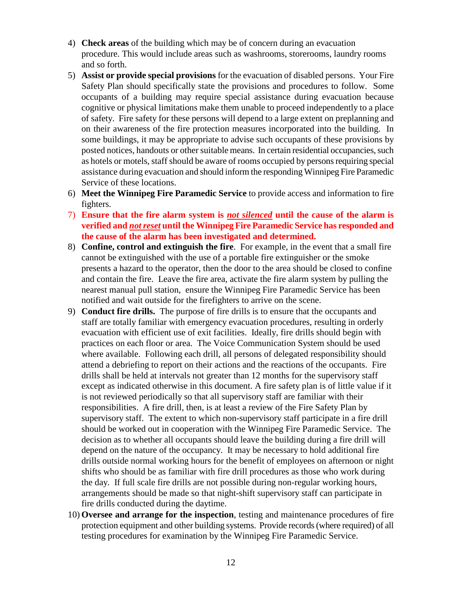- 4) **Check areas** of the building which may be of concern during an evacuation procedure. This would include areas such as washrooms, storerooms, laundry rooms and so forth.
- 5) **Assist or provide special provisions** for the evacuation of disabled persons. Your Fire Safety Plan should specifically state the provisions and procedures to follow. Some occupants of a building may require special assistance during evacuation because cognitive or physical limitations make them unable to proceed independently to a place of safety. Fire safety for these persons will depend to a large extent on preplanning and on their awareness of the fire protection measures incorporated into the building. In some buildings, it may be appropriate to advise such occupants of these provisions by posted notices, handouts or other suitable means. In certain residential occupancies, such as hotels or motels, staff should be aware of rooms occupied by persons requiring special assistance during evacuation and should inform the responding Winnipeg Fire Paramedic Service of these locations.
- 6) **Meet the Winnipeg Fire Paramedic Service** to provide access and information to fire fighters.
- 7) **Ensure that the fire alarm system is** *not silenced* **until the cause of the alarm is verified and** *not reset* **until the Winnipeg Fire Paramedic Service has responded and the cause of the alarm has been investigated and determined.**
- 8) **Confine, control and extinguish the fire**. For example, in the event that a small fire cannot be extinguished with the use of a portable fire extinguisher or the smoke presents a hazard to the operator, then the door to the area should be closed to confine and contain the fire. Leave the fire area, activate the fire alarm system by pulling the nearest manual pull station, ensure the Winnipeg Fire Paramedic Service has been notified and wait outside for the firefighters to arrive on the scene.
- 9) **Conduct fire drills.** The purpose of fire drills is to ensure that the occupants and staff are totally familiar with emergency evacuation procedures, resulting in orderly evacuation with efficient use of exit facilities. Ideally, fire drills should begin with practices on each floor or area. The Voice Communication System should be used where available. Following each drill, all persons of delegated responsibility should attend a debriefing to report on their actions and the reactions of the occupants. Fire drills shall be held at intervals not greater than 12 months for the supervisory staff except as indicated otherwise in this document. A fire safety plan is of little value if it is not reviewed periodically so that all supervisory staff are familiar with their responsibilities. A fire drill, then, is at least a review of the Fire Safety Plan by supervisory staff. The extent to which non-supervisory staff participate in a fire drill should be worked out in cooperation with the Winnipeg Fire Paramedic Service. The decision as to whether all occupants should leave the building during a fire drill will depend on the nature of the occupancy. It may be necessary to hold additional fire drills outside normal working hours for the benefit of employees on afternoon or night shifts who should be as familiar with fire drill procedures as those who work during the day. If full scale fire drills are not possible during non-regular working hours, arrangements should be made so that night-shift supervisory staff can participate in fire drills conducted during the daytime.
- 10) **Oversee and arrange for the inspection**, testing and maintenance procedures of fire protection equipment and other building systems. Provide records (where required) of all testing procedures for examination by the Winnipeg Fire Paramedic Service.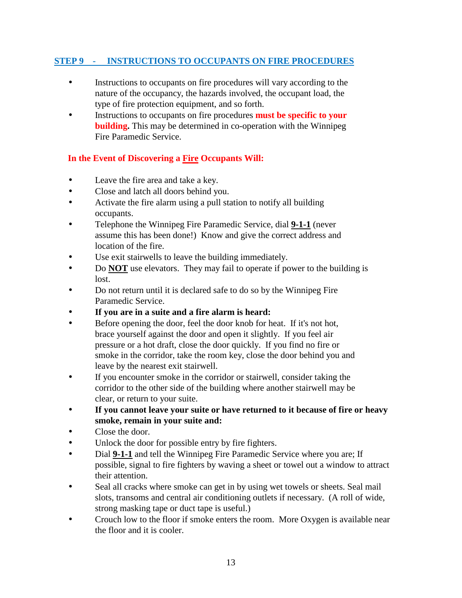#### **STEP 9 - INSTRUCTIONS TO OCCUPANTS ON FIRE PROCEDURES**

- Instructions to occupants on fire procedures will vary according to the nature of the occupancy, the hazards involved, the occupant load, the type of fire protection equipment, and so forth.
- Instructions to occupants on fire procedures **must be specific to your building.** This may be determined in co-operation with the Winnipeg Fire Paramedic Service.

#### **In the Event of Discovering a Fire Occupants Will:**

- Leave the fire area and take a key.
- Close and latch all doors behind you.
- Activate the fire alarm using a pull station to notify all building occupants.
- Telephone the Winnipeg Fire Paramedic Service, dial **9-1-1** (never assume this has been done!) Know and give the correct address and location of the fire.
- Use exit stairwells to leave the building immediately.
- Do **NOT** use elevators. They may fail to operate if power to the building is lost.
- Do not return until it is declared safe to do so by the Winnipeg Fire Paramedic Service.
- **If you are in a suite and a fire alarm is heard:**
- Before opening the door, feel the door knob for heat. If it's not hot, brace yourself against the door and open it slightly. If you feel air pressure or a hot draft, close the door quickly. If you find no fire or smoke in the corridor, take the room key, close the door behind you and leave by the nearest exit stairwell.
- If you encounter smoke in the corridor or stairwell, consider taking the corridor to the other side of the building where another stairwell may be clear, or return to your suite.
- **If you cannot leave your suite or have returned to it because of fire or heavy smoke, remain in your suite and:**
- Close the door.
- Unlock the door for possible entry by fire fighters.
- Dial **9-1-1** and tell the Winnipeg Fire Paramedic Service where you are; If possible, signal to fire fighters by waving a sheet or towel out a window to attract their attention.
- Seal all cracks where smoke can get in by using wet towels or sheets. Seal mail slots, transoms and central air conditioning outlets if necessary. (A roll of wide, strong masking tape or duct tape is useful.)
- Crouch low to the floor if smoke enters the room. More Oxygen is available near the floor and it is cooler.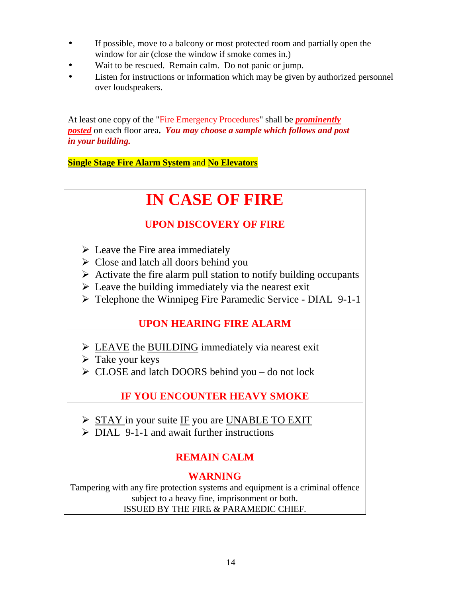- If possible, move to a balcony or most protected room and partially open the window for air (close the window if smoke comes in.)
- Wait to be rescued. Remain calm. Do not panic or jump.
- Listen for instructions or information which may be given by authorized personnel over loudspeakers.

At least one copy of the "Fire Emergency Procedures" shall be *prominently posted* on each floor area**.** *You may choose a sample which follows and post in your building.*

**Single Stage Fire Alarm System** and **No Elevators**

# **IN CASE OF FIRE**

# **UPON DISCOVERY OF FIRE**

- $\triangleright$  Leave the Fire area immediately
- $\triangleright$  Close and latch all doors behind you
- $\triangleright$  Activate the fire alarm pull station to notify building occupants
- $\triangleright$  Leave the building immediately via the nearest exit
- Telephone the Winnipeg Fire Paramedic Service DIAL 9-1-1

# **UPON HEARING FIRE ALARM**

- $\triangleright$  LEAVE the BUILDING immediately via nearest exit
- $\triangleright$  Take your keys
- $\triangleright$  CLOSE and latch DOORS behind you do not lock

# **IF YOU ENCOUNTER HEAVY SMOKE**

- $\triangleright$  STAY in your suite IF you are UNABLE TO EXIT
- $\triangleright$  DIAL 9-1-1 and await further instructions

# **REMAIN CALM**

# **WARNING**

Tampering with any fire protection systems and equipment is a criminal offence subject to a heavy fine, imprisonment or both. ISSUED BY THE FIRE & PARAMEDIC CHIEF.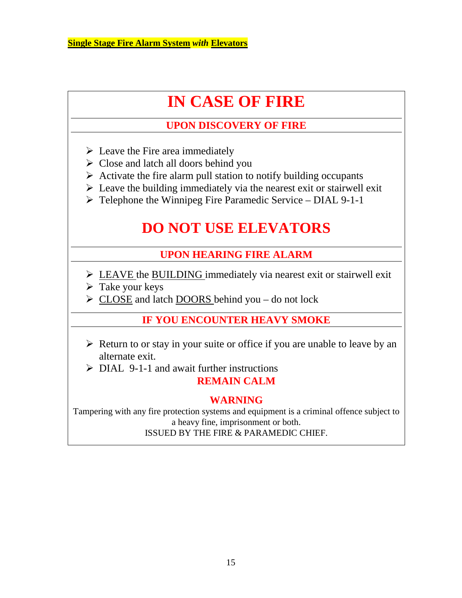# **IN CASE OF FIRE**

# **UPON DISCOVERY OF FIRE**

- $\triangleright$  Leave the Fire area immediately
- $\triangleright$  Close and latch all doors behind you
- $\triangleright$  Activate the fire alarm pull station to notify building occupants
- $\triangleright$  Leave the building immediately via the nearest exit or stairwell exit
- $\triangleright$  Telephone the Winnipeg Fire Paramedic Service DIAL 9-1-1

# **DO NOT USE ELEVATORS**

### **UPON HEARING FIRE ALARM**

- LEAVE the BUILDING immediately via nearest exit or stairwell exit
- $\triangleright$  Take your keys
- $\triangleright$  CLOSE and latch DOORS behind you do not lock

### **IF YOU ENCOUNTER HEAVY SMOKE**

- $\triangleright$  Return to or stay in your suite or office if you are unable to leave by an alternate exit.
- $\triangleright$  DIAL 9-1-1 and await further instructions

### **REMAIN CALM**

### **WARNING**

Tampering with any fire protection systems and equipment is a criminal offence subject to a heavy fine, imprisonment or both. ISSUED BY THE FIRE & PARAMEDIC CHIEF.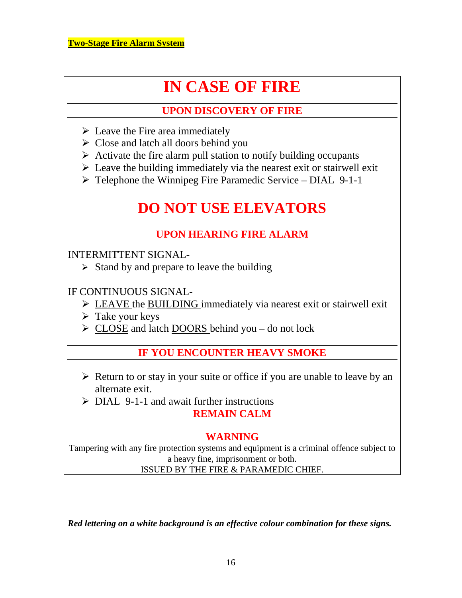# **IN CASE OF FIRE**

# **UPON DISCOVERY OF FIRE**

- $\triangleright$  Leave the Fire area immediately
- $\triangleright$  Close and latch all doors behind you
- $\triangleright$  Activate the fire alarm pull station to notify building occupants
- $\triangleright$  Leave the building immediately via the nearest exit or stairwell exit
- $\triangleright$  Telephone the Winnipeg Fire Paramedic Service DIAL 9-1-1

# **DO NOT USE ELEVATORS**

# **UPON HEARING FIRE ALARM**

INTERMITTENT SIGNAL-

 $\triangleright$  Stand by and prepare to leave the building

IF CONTINUOUS SIGNAL-

- $\triangleright$  LEAVE the BUILDING immediately via nearest exit or stairwell exit
- $\triangleright$  Take your keys
- $\triangleright$  CLOSE and latch DOORS behind you do not lock

# **IF YOU ENCOUNTER HEAVY SMOKE**

- $\triangleright$  Return to or stay in your suite or office if you are unable to leave by an alternate exit.
- $\triangleright$  DIAL 9-1-1 and await further instructions **REMAIN CALM**

# **WARNING**

Tampering with any fire protection systems and equipment is a criminal offence subject to a heavy fine, imprisonment or both. ISSUED BY THE FIRE & PARAMEDIC CHIEF.

*Red lettering on a white background is an effective colour combination for these signs.*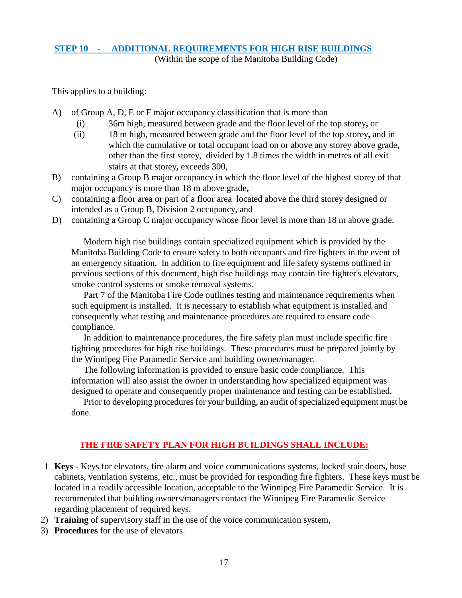### **STEP 10 - ADDITIONAL REQUIREMENTS FOR HIGH RISE BUILDINGS**

(Within the scope of the Manitoba Building Code)

This applies to a building:

- A) of Group A, D, E or F major occupancy classification that is more than
	- (i) 36m high, measured between grade and the floor level of the top storey**,** or
	- (ii) 18 m high, measured between grade and the floor level of the top storey**,** and in which the cumulative or total occupant load on or above any storey above grade, other than the first storey, divided by 1.8 times the width in metres of all exit stairs at that storey**,** exceeds 300,
- B) containing a Group B major occupancy in which the floor level of the highest storey of that major occupancy is more than 18 m above grade**,**
- C) containing a floor area or part of a floor area located above the third storey designed or intended as a Group B, Division 2 occupancy, and
- D) containing a Group C major occupancy whose floor level is more than 18 m above grade.

 Modern high rise buildings contain specialized equipment which is provided by the Manitoba Building Code to ensure safety to both occupants and fire fighters in the event of an emergency situation. In addition to fire equipment and life safety systems outlined in previous sections of this document, high rise buildings may contain fire fighter's elevators, smoke control systems or smoke removal systems.

 Part 7 of the Manitoba Fire Code outlines testing and maintenance requirements when such equipment is installed. It is necessary to establish what equipment is installed and consequently what testing and maintenance procedures are required to ensure code compliance.

 In addition to maintenance procedures, the fire safety plan must include specific fire fighting procedures for high rise buildings. These procedures must be prepared jointly by the Winnipeg Fire Paramedic Service and building owner/manager.

 The following information is provided to ensure basic code compliance. This information will also assist the owner in understanding how specialized equipment was designed to operate and consequently proper maintenance and testing can be established.

 Prior to developing procedures for your building, an audit of specialized equipment must be done.

#### **THE FIRE SAFETY PLAN FOR HIGH BUILDINGS SHALL INCLUDE:**

- 1 **Keys**  Keys for elevators, fire alarm and voice communications systems, locked stair doors, hose cabinets, ventilation systems, etc., must be provided for responding fire fighters. These keys must be located in a readily accessible location, acceptable to the Winnipeg Fire Paramedic Service. It is recommended that building owners/managers contact the Winnipeg Fire Paramedic Service regarding placement of required keys.
- 2) **Training** of supervisory staff in the use of the voice communication system,
- 3) **Procedures** for the use of elevators.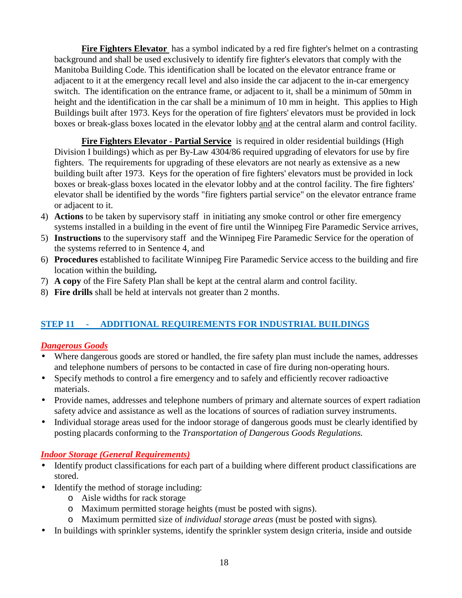**Fire Fighters Elevator** has a symbol indicated by a red fire fighter's helmet on a contrasting background and shall be used exclusively to identify fire fighter's elevators that comply with the Manitoba Building Code. This identification shall be located on the elevator entrance frame or adjacent to it at the emergency recall level and also inside the car adjacent to the in-car emergency switch. The identification on the entrance frame, or adjacent to it, shall be a minimum of 50mm in height and the identification in the car shall be a minimum of 10 mm in height. This applies to High Buildings built after 1973. Keys for the operation of fire fighters' elevators must be provided in lock boxes or break-glass boxes located in the elevator lobby and at the central alarm and control facility.

**Fire Fighters Elevator - Partial Service** is required in older residential buildings (High Division I buildings) which as per By-Law 4304/86 required upgrading of elevators for use by fire fighters. The requirements for upgrading of these elevators are not nearly as extensive as a new building built after 1973. Keys for the operation of fire fighters' elevators must be provided in lock boxes or break-glass boxes located in the elevator lobby and at the control facility. The fire fighters' elevator shall be identified by the words "fire fighters partial service" on the elevator entrance frame or adjacent to it.

- 4) **Actions** to be taken by supervisory staff in initiating any smoke control or other fire emergency systems installed in a building in the event of fire until the Winnipeg Fire Paramedic Service arrives,
- 5) **Instructions** to the supervisory staff and the Winnipeg Fire Paramedic Service for the operation of the systems referred to in Sentence 4, and
- 6) **Procedures** established to facilitate Winnipeg Fire Paramedic Service access to the building and fire location within the building**.**
- 7) **A copy** of the Fire Safety Plan shall be kept at the central alarm and control facility.
- 8) **Fire drills** shall be held at intervals not greater than 2 months.

#### **STEP 11 - ADDITIONAL REQUIREMENTS FOR INDUSTRIAL BUILDINGS**

#### *Dangerous Goods*

- Where dangerous goods are stored or handled, the fire safety plan must include the names, addresses and telephone numbers of persons to be contacted in case of fire during non-operating hours.
- Specify methods to control a fire emergency and to safely and efficiently recover radioactive materials.
- Provide names, addresses and telephone numbers of primary and alternate sources of expert radiation safety advice and assistance as well as the locations of sources of radiation survey instruments.
- Individual storage areas used for the indoor storage of dangerous goods must be clearly identified by posting placards conforming to the *Transportation of Dangerous Goods Regulations.*

#### *Indoor Storage (General Requirements)*

- Identify product classifications for each part of a building where different product classifications are stored.
- Identify the method of storage including:
	- o Aisle widths for rack storage
	- o Maximum permitted storage heights (must be posted with signs).
	- o Maximum permitted size of *individual storage areas* (must be posted with signs)*.*
- In buildings with sprinkler systems, identify the sprinkler system design criteria, inside and outside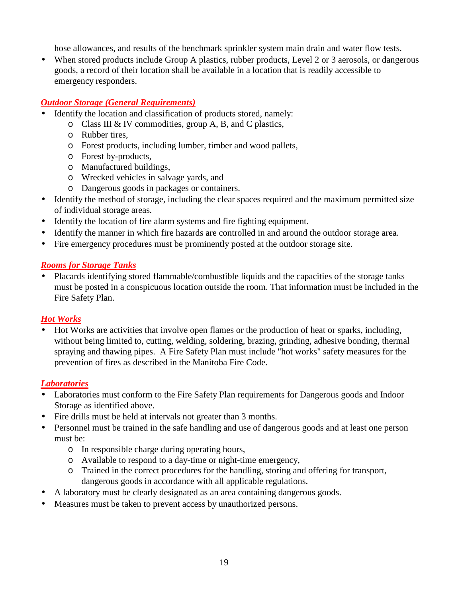hose allowances, and results of the benchmark sprinkler system main drain and water flow tests.

• When stored products include Group A plastics, rubber products, Level 2 or 3 aerosols, or dangerous goods, a record of their location shall be available in a location that is readily accessible to emergency responders.

#### *Outdoor Storage (General Requirements)*

- Identify the location and classification of products stored, namely:
	- o Class III & IV commodities, group A, B, and C plastics,
	- o Rubber tires,
	- o Forest products, including lumber, timber and wood pallets,
	- o Forest by-products,
	- o Manufactured buildings,
	- o Wrecked vehicles in salvage yards, and
	- o Dangerous goods in packages or containers.
- Identify the method of storage, including the clear spaces required and the maximum permitted size of individual storage areas*.*
- Identify the location of fire alarm systems and fire fighting equipment.
- Identify the manner in which fire hazards are controlled in and around the outdoor storage area.
- Fire emergency procedures must be prominently posted at the outdoor storage site.

#### *Rooms for Storage Tanks*

• Placards identifying stored flammable/combustible liquids and the capacities of the storage tanks must be posted in a conspicuous location outside the room. That information must be included in the Fire Safety Plan.

#### *Hot Works*

• Hot Works are activities that involve open flames or the production of heat or sparks, including, without being limited to, cutting, welding, soldering, brazing, grinding, adhesive bonding, thermal spraying and thawing pipes. A Fire Safety Plan must include "hot works" safety measures for the prevention of fires as described in the Manitoba Fire Code.

#### *Laboratories*

- Laboratories must conform to the Fire Safety Plan requirements for Dangerous goods and Indoor Storage as identified above.
- Fire drills must be held at intervals not greater than 3 months.
- Personnel must be trained in the safe handling and use of dangerous goods and at least one person must be:
	- o In responsible charge during operating hours,
	- o Available to respond to a day-time or night-time emergency,
	- o Trained in the correct procedures for the handling, storing and offering for transport, dangerous goods in accordance with all applicable regulations.
- A laboratory must be clearly designated as an area containing dangerous goods.
- Measures must be taken to prevent access by unauthorized persons.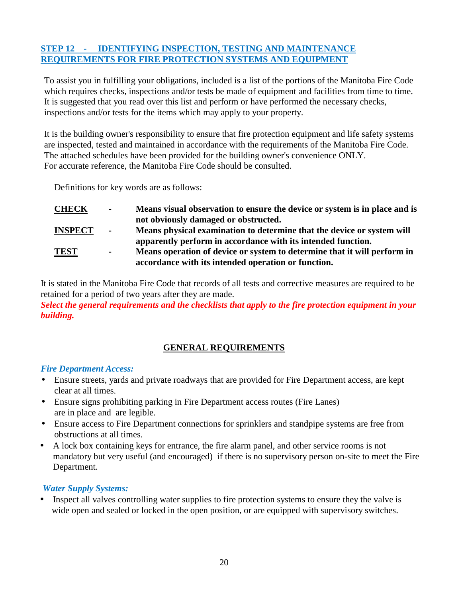#### **STEP 12 - IDENTIFYING INSPECTION, TESTING AND MAINTENANCE REQUIREMENTS FOR FIRE PROTECTION SYSTEMS AND EQUIPMENT**

To assist you in fulfilling your obligations, included is a list of the portions of the Manitoba Fire Code which requires checks, inspections and/or tests be made of equipment and facilities from time to time. It is suggested that you read over this list and perform or have performed the necessary checks, inspections and/or tests for the items which may apply to your property.

It is the building owner's responsibility to ensure that fire protection equipment and life safety systems are inspected, tested and maintained in accordance with the requirements of the Manitoba Fire Code. The attached schedules have been provided for the building owner's convenience ONLY. For accurate reference, the Manitoba Fire Code should be consulted.

Definitions for key words are as follows:

| <b>CHECK</b>   | $\sim$ | Means visual observation to ensure the device or system is in place and is |
|----------------|--------|----------------------------------------------------------------------------|
|                |        | not obviously damaged or obstructed.                                       |
| <b>INSPECT</b> |        | Means physical examination to determine that the device or system will     |

**apparently perform in accordance with its intended function. TEST - Means operation of device or system to determine that it will perform in accordance with its intended operation or function.**

It is stated in the Manitoba Fire Code that records of all tests and corrective measures are required to be retained for a period of two years after they are made.

#### *Select the general requirements and the checklists that apply to the fire protection equipment in your building.*

#### **GENERAL REQUIREMENTS**

#### *Fire Department Access:*

- Ensure streets, yards and private roadways that are provided for Fire Department access, are kept clear at all times.
- Ensure signs prohibiting parking in Fire Department access routes (Fire Lanes) are in place and are legible.
- Ensure access to Fire Department connections for sprinklers and standpipe systems are free from obstructions at all times.
- A lock box containing keys for entrance, the fire alarm panel, and other service rooms is not mandatory but very useful (and encouraged) if there is no supervisory person on-site to meet the Fire Department.

#### *Water Supply Systems:*

• Inspect all valves controlling water supplies to fire protection systems to ensure they the valve is wide open and sealed or locked in the open position, or are equipped with supervisory switches.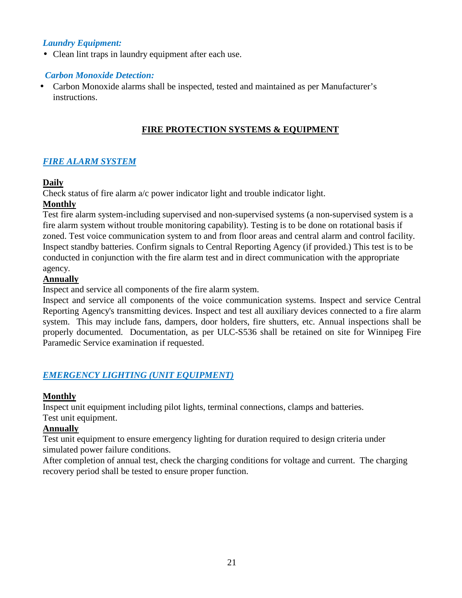#### *Laundry Equipment:*

• Clean lint traps in laundry equipment after each use.

#### *Carbon Monoxide Detection:*

• Carbon Monoxide alarms shall be inspected, tested and maintained as per Manufacturer's instructions.

#### **FIRE PROTECTION SYSTEMS & EQUIPMENT**

#### *FIRE ALARM SYSTEM*

#### **Daily**

Check status of fire alarm a/c power indicator light and trouble indicator light.

#### **Monthly**

Test fire alarm system-including supervised and non-supervised systems (a non-supervised system is a fire alarm system without trouble monitoring capability). Testing is to be done on rotational basis if zoned. Test voice communication system to and from floor areas and central alarm and control facility. Inspect standby batteries. Confirm signals to Central Reporting Agency (if provided.) This test is to be conducted in conjunction with the fire alarm test and in direct communication with the appropriate agency.

#### **Annually**

Inspect and service all components of the fire alarm system.

Inspect and service all components of the voice communication systems. Inspect and service Central Reporting Agency's transmitting devices. Inspect and test all auxiliary devices connected to a fire alarm system. This may include fans, dampers, door holders, fire shutters, etc. Annual inspections shall be properly documented. Documentation, as per ULC-S536 shall be retained on site for Winnipeg Fire Paramedic Service examination if requested.

#### *EMERGENCY LIGHTING (UNIT EQUIPMENT)*

#### **Monthly**

Inspect unit equipment including pilot lights, terminal connections, clamps and batteries.

### Test unit equipment.

#### **Annually**

Test unit equipment to ensure emergency lighting for duration required to design criteria under simulated power failure conditions.

After completion of annual test, check the charging conditions for voltage and current. The charging recovery period shall be tested to ensure proper function.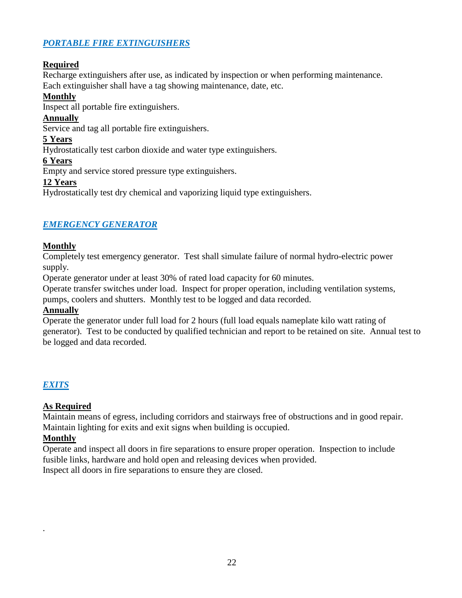#### *PORTABLE FIRE EXTINGUISHERS*

#### **Required**

Recharge extinguishers after use, as indicated by inspection or when performing maintenance. Each extinguisher shall have a tag showing maintenance, date, etc.

#### **Monthly**

Inspect all portable fire extinguishers.

#### **Annually**

Service and tag all portable fire extinguishers.

#### **5 Years**

Hydrostatically test carbon dioxide and water type extinguishers.

**6 Years**

Empty and service stored pressure type extinguishers.

#### **12 Years**

Hydrostatically test dry chemical and vaporizing liquid type extinguishers.

#### *EMERGENCY GENERATOR*

#### **Monthly**

Completely test emergency generator. Test shall simulate failure of normal hydro-electric power supply.

Operate generator under at least 30% of rated load capacity for 60 minutes.

Operate transfer switches under load. Inspect for proper operation, including ventilation systems,

pumps, coolers and shutters. Monthly test to be logged and data recorded.

#### **Annually**

Operate the generator under full load for 2 hours (full load equals nameplate kilo watt rating of generator). Test to be conducted by qualified technician and report to be retained on site. Annual test to be logged and data recorded.

#### *EXITS*

#### **As Required**

Maintain means of egress, including corridors and stairways free of obstructions and in good repair. Maintain lighting for exits and exit signs when building is occupied.

#### **Monthly**

.

Operate and inspect all doors in fire separations to ensure proper operation. Inspection to include fusible links, hardware and hold open and releasing devices when provided. Inspect all doors in fire separations to ensure they are closed.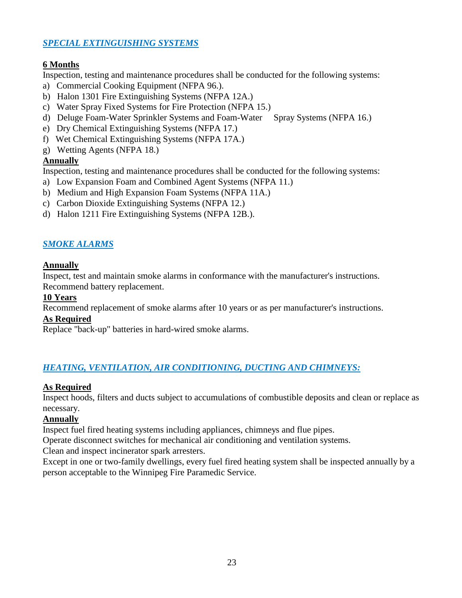#### *SPECIAL EXTINGUISHING SYSTEMS*

#### **6 Months**

Inspection, testing and maintenance procedures shall be conducted for the following systems:

- a) Commercial Cooking Equipment (NFPA 96.).
- b) Halon 1301 Fire Extinguishing Systems (NFPA 12A.)
- c) Water Spray Fixed Systems for Fire Protection (NFPA 15.)
- d) Deluge Foam-Water Sprinkler Systems and Foam-Water Spray Systems (NFPA 16.)
- e) Dry Chemical Extinguishing Systems (NFPA 17.)
- f) Wet Chemical Extinguishing Systems (NFPA 17A.)
- g) Wetting Agents (NFPA 18.)

#### **Annually**

Inspection, testing and maintenance procedures shall be conducted for the following systems:

- a) Low Expansion Foam and Combined Agent Systems (NFPA 11.)
- b) Medium and High Expansion Foam Systems (NFPA 11A.)
- c) Carbon Dioxide Extinguishing Systems (NFPA 12.)
- d) Halon 1211 Fire Extinguishing Systems (NFPA 12B.).

#### *SMOKE ALARMS*

#### **Annually**

Inspect, test and maintain smoke alarms in conformance with the manufacturer's instructions.

Recommend battery replacement.

#### **10 Years**

Recommend replacement of smoke alarms after 10 years or as per manufacturer's instructions.

#### **As Required**

Replace "back-up" batteries in hard-wired smoke alarms.

#### *HEATING, VENTILATION, AIR CONDITIONING, DUCTING AND CHIMNEYS:*

#### **As Required**

Inspect hoods, filters and ducts subject to accumulations of combustible deposits and clean or replace as necessary.

#### **Annually**

Inspect fuel fired heating systems including appliances, chimneys and flue pipes.

Operate disconnect switches for mechanical air conditioning and ventilation systems.

Clean and inspect incinerator spark arresters.

Except in one or two-family dwellings, every fuel fired heating system shall be inspected annually by a person acceptable to the Winnipeg Fire Paramedic Service.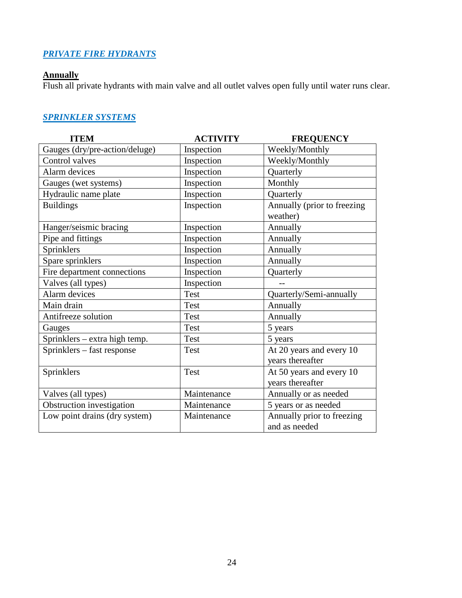#### *PRIVATE FIRE HYDRANTS*

#### **Annually**

Flush all private hydrants with main valve and all outlet valves open fully until water runs clear.

#### *SPRINKLER SYSTEMS*

| <b>ITEM</b>                    | <b>ACTIVITY</b> | <b>FREQUENCY</b>            |
|--------------------------------|-----------------|-----------------------------|
| Gauges (dry/pre-action/deluge) | Inspection      | Weekly/Monthly              |
| Control valves                 | Inspection      | Weekly/Monthly              |
| Alarm devices                  | Inspection      | Quarterly                   |
| Gauges (wet systems)           | Inspection      | Monthly                     |
| Hydraulic name plate           | Inspection      | Quarterly                   |
| <b>Buildings</b>               | Inspection      | Annually (prior to freezing |
|                                |                 | weather)                    |
| Hanger/seismic bracing         | Inspection      | Annually                    |
| Pipe and fittings              | Inspection      | Annually                    |
| Sprinklers                     | Inspection      | Annually                    |
| Spare sprinklers               | Inspection      | Annually                    |
| Fire department connections    | Inspection      | Quarterly                   |
| Valves (all types)             | Inspection      |                             |
| Alarm devices                  | Test            | Quarterly/Semi-annually     |
| Main drain                     | Test            | Annually                    |
| Antifreeze solution            | Test            | Annually                    |
| Gauges                         | <b>Test</b>     | 5 years                     |
| Sprinklers – extra high temp.  | Test            | 5 years                     |
| Sprinklers – fast response     | Test            | At 20 years and every 10    |
|                                |                 | years thereafter            |
| Sprinklers                     | <b>Test</b>     | At 50 years and every 10    |
|                                |                 | years thereafter            |
| Valves (all types)             | Maintenance     | Annually or as needed       |
| Obstruction investigation      | Maintenance     | 5 years or as needed        |
| Low point drains (dry system)  | Maintenance     | Annually prior to freezing  |
|                                |                 | and as needed               |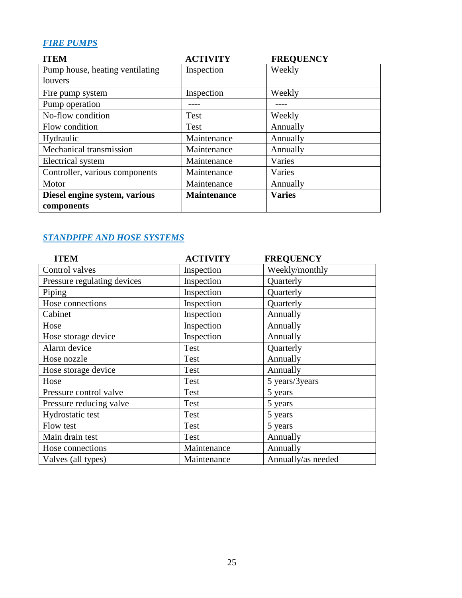### *FIRE PUMPS*

| <b>ITEM</b>                     | <b>ACTIVITY</b>    | <b>FREQUENCY</b> |
|---------------------------------|--------------------|------------------|
| Pump house, heating ventilating | Inspection         | Weekly           |
| louvers                         |                    |                  |
| Fire pump system                | Inspection         | Weekly           |
| Pump operation                  |                    |                  |
| No-flow condition               | Test               | Weekly           |
| Flow condition                  | <b>Test</b>        | Annually         |
| Hydraulic                       | Maintenance        | Annually         |
| Mechanical transmission         | Maintenance        | Annually         |
| Electrical system               | Maintenance        | Varies           |
| Controller, various components  | Maintenance        | Varies           |
| Motor                           | Maintenance        | Annually         |
| Diesel engine system, various   | <b>Maintenance</b> | <b>Varies</b>    |
| components                      |                    |                  |

#### *STANDPIPE AND HOSE SYSTEMS*

| <b>ITEM</b>                 | <b>ACTIVITY</b> | <b>FREQUENCY</b>   |
|-----------------------------|-----------------|--------------------|
| Control valves              | Inspection      | Weekly/monthly     |
| Pressure regulating devices | Inspection      | Quarterly          |
| Piping                      | Inspection      | Quarterly          |
| Hose connections            | Inspection      | Quarterly          |
| Cabinet                     | Inspection      | Annually           |
| Hose                        | Inspection      | Annually           |
| Hose storage device         | Inspection      | Annually           |
| Alarm device                | Test            | Quarterly          |
| Hose nozzle                 | Test            | Annually           |
| Hose storage device         | Test            | Annually           |
| Hose                        | Test            | 5 years/3years     |
| Pressure control valve      | Test            | 5 years            |
| Pressure reducing valve     | Test            | 5 years            |
| Hydrostatic test            | Test            | 5 years            |
| Flow test                   | <b>Test</b>     | 5 years            |
| Main drain test             | <b>Test</b>     | Annually           |
| Hose connections            | Maintenance     | Annually           |
| Valves (all types)          | Maintenance     | Annually/as needed |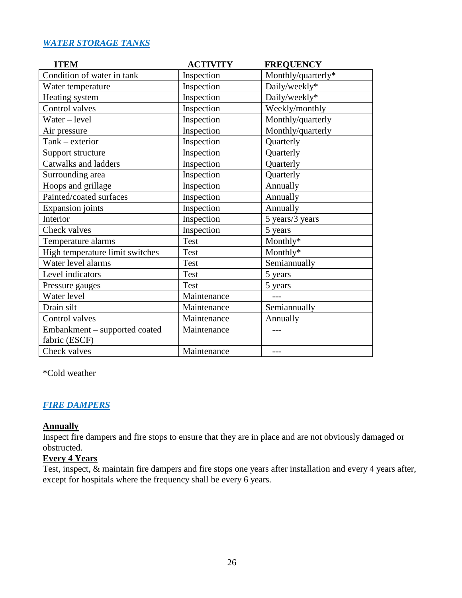#### *WATER STORAGE TANKS*

| <b>ITEM</b>                     | <b>ACTIVITY</b> | <b>FREQUENCY</b>   |
|---------------------------------|-----------------|--------------------|
| Condition of water in tank      | Inspection      | Monthly/quarterly* |
| Water temperature               | Inspection      | Daily/weekly*      |
| Heating system                  | Inspection      | Daily/weekly*      |
| Control valves                  | Inspection      | Weekly/monthly     |
| Water – level                   | Inspection      | Monthly/quarterly  |
| Air pressure                    | Inspection      | Monthly/quarterly  |
| Tank - exterior                 | Inspection      | Quarterly          |
| Support structure               | Inspection      | Quarterly          |
| Catwalks and ladders            | Inspection      | Quarterly          |
| Surrounding area                | Inspection      | Quarterly          |
| Hoops and grillage              | Inspection      | Annually           |
| Painted/coated surfaces         | Inspection      | Annually           |
| <b>Expansion</b> joints         | Inspection      | Annually           |
| Interior                        | Inspection      | 5 years/3 years    |
| Check valves                    | Inspection      | 5 years            |
| Temperature alarms              | <b>Test</b>     | Monthly*           |
| High temperature limit switches | Test            | Monthly*           |
| Water level alarms              | <b>Test</b>     | Semiannually       |
| Level indicators                | <b>Test</b>     | 5 years            |
| Pressure gauges                 | <b>Test</b>     | 5 years            |
| Water level                     | Maintenance     |                    |
| Drain silt                      | Maintenance     | Semiannually       |
| Control valves                  | Maintenance     | Annually           |
| Embankment - supported coated   | Maintenance     |                    |
| fabric (ESCF)                   |                 |                    |
| Check valves                    | Maintenance     | ---                |

\*Cold weather

#### *FIRE DAMPERS*

# **Annually**

Inspect fire dampers and fire stops to ensure that they are in place and are not obviously damaged or obstructed.

#### **Every 4 Years**

Test, inspect, & maintain fire dampers and fire stops one years after installation and every 4 years after, except for hospitals where the frequency shall be every 6 years.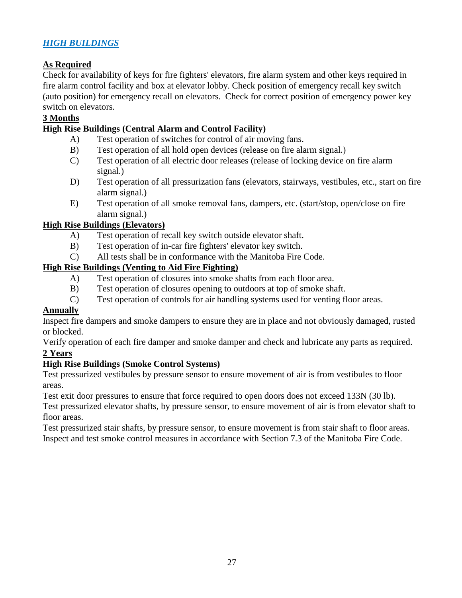#### *HIGH BUILDINGS*

#### **As Required**

Check for availability of keys for fire fighters' elevators, fire alarm system and other keys required in fire alarm control facility and box at elevator lobby. Check position of emergency recall key switch (auto position) for emergency recall on elevators. Check for correct position of emergency power key switch on elevators.

#### **3 Months**

#### **High Rise Buildings (Central Alarm and Control Facility)**

- A) Test operation of switches for control of air moving fans.
- B) Test operation of all hold open devices (release on fire alarm signal.)
- C) Test operation of all electric door releases (release of locking device on fire alarm signal.)
- D) Test operation of all pressurization fans (elevators, stairways, vestibules, etc., start on fire alarm signal.)
- E) Test operation of all smoke removal fans, dampers, etc. (start/stop, open/close on fire alarm signal.)

#### **High Rise Buildings (Elevators)**

- A) Test operation of recall key switch outside elevator shaft.
- B) Test operation of in-car fire fighters' elevator key switch.
- C) All tests shall be in conformance with the Manitoba Fire Code.

#### **High Rise Buildings (Venting to Aid Fire Fighting)**

- A) Test operation of closures into smoke shafts from each floor area.
- B) Test operation of closures opening to outdoors at top of smoke shaft.
- C) Test operation of controls for air handling systems used for venting floor areas.

#### **Annually**

Inspect fire dampers and smoke dampers to ensure they are in place and not obviously damaged, rusted or blocked.

Verify operation of each fire damper and smoke damper and check and lubricate any parts as required. **2 Years** 

#### **High Rise Buildings (Smoke Control Systems)**

Test pressurized vestibules by pressure sensor to ensure movement of air is from vestibules to floor areas.

Test exit door pressures to ensure that force required to open doors does not exceed 133N (30 lb).

Test pressurized elevator shafts, by pressure sensor, to ensure movement of air is from elevator shaft to floor areas.

Test pressurized stair shafts, by pressure sensor, to ensure movement is from stair shaft to floor areas. Inspect and test smoke control measures in accordance with Section 7.3 of the Manitoba Fire Code.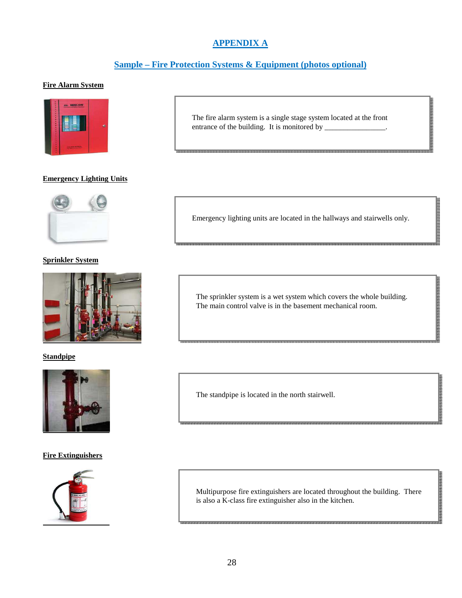### **APPENDIX A**

#### **Sample – Fire Protection Systems & Equipment (photos optional)**

#### **Fire Alarm System**



#### **Emergency Lighting Units**



#### **Sprinkler System**



#### **Standpipe**



#### **Fire Extinguishers**



The fire alarm system is a single stage system located at the front entrance of the building. It is monitored by \_\_\_\_\_\_\_\_\_\_\_\_\_\_\_.

**Burnet Company of Company of Company** 

Emergency lighting units are located in the hallways and stairwells only.

The sprinkler system is a wet system which covers the whole building. The main control valve is in the basement mechanical room.

The standpipe is located in the north stairwell.

Multipurpose fire extinguishers are located throughout the building. There is also a K-class fire extinguisher also in the kitchen.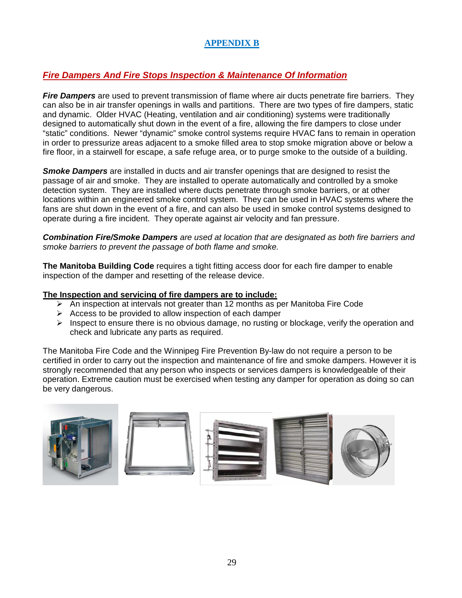#### **APPENDIX B**

#### **Fire Dampers And Fire Stops Inspection & Maintenance Of Information**

**Fire Dampers** are used to prevent transmission of flame where air ducts penetrate fire barriers. They can also be in air transfer openings in walls and partitions. There are two types of fire dampers, static and dynamic. Older HVAC (Heating, ventilation and air conditioning) systems were traditionally designed to automatically shut down in the event of a fire, allowing the fire dampers to close under "static" conditions. Newer "dynamic" smoke control systems require HVAC fans to remain in operation in order to pressurize areas adjacent to a smoke filled area to stop smoke migration above or below a fire floor, in a stairwell for escape, a safe refuge area, or to purge smoke to the outside of a building.

**Smoke Dampers** are installed in ducts and air transfer openings that are designed to resist the passage of air and smoke. They are installed to operate automatically and controlled by a smoke detection system. They are installed where ducts penetrate through smoke barriers, or at other locations within an engineered smoke control system. They can be used in HVAC systems where the fans are shut down in the event of a fire, and can also be used in smoke control systems designed to operate during a fire incident. They operate against air velocity and fan pressure.

**Combination Fire/Smoke Dampers** are used at location that are designated as both fire barriers and smoke barriers to prevent the passage of both flame and smoke.

**The Manitoba Building Code** requires a tight fitting access door for each fire damper to enable inspection of the damper and resetting of the release device.

#### **The Inspection and servicing of fire dampers are to include:**

- $\triangleright$  An inspection at intervals not greater than 12 months as per Manitoba Fire Code
- $\triangleright$  Access to be provided to allow inspection of each damper
- $\triangleright$  Inspect to ensure there is no obvious damage, no rusting or blockage, verify the operation and check and lubricate any parts as required.

The Manitoba Fire Code and the Winnipeg Fire Prevention By-law do not require a person to be certified in order to carry out the inspection and maintenance of fire and smoke dampers. However it is strongly recommended that any person who inspects or services dampers is knowledgeable of their operation. Extreme caution must be exercised when testing any damper for operation as doing so can be very dangerous.

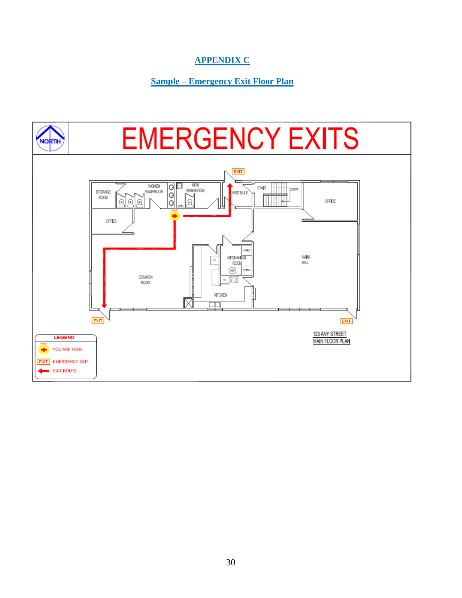#### **APPENDIX C**

#### **Sample – Emergency Exit Floor Plan**